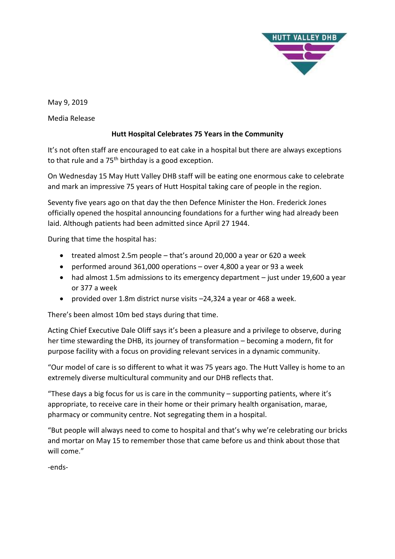

May 9, 2019

Media Release

## **Hutt Hospital Celebrates 75 Years in the Community**

It's not often staff are encouraged to eat cake in a hospital but there are always exceptions to that rule and a  $75<sup>th</sup>$  birthday is a good exception.

On Wednesday 15 May Hutt Valley DHB staff will be eating one enormous cake to celebrate and mark an impressive 75 years of Hutt Hospital taking care of people in the region.

Seventy five years ago on that day the then Defence Minister the Hon. Frederick Jones officially opened the hospital announcing foundations for a further wing had already been laid. Although patients had been admitted since April 27 1944.

During that time the hospital has:

- treated almost 2.5m people that's around 20,000 a year or 620 a week
- performed around 361,000 operations over 4,800 a year or 93 a week
- had almost 1.5m admissions to its emergency department just under 19,600 a year or 377 a week
- provided over 1.8m district nurse visits –24,324 a year or 468 a week.

There's been almost 10m bed stays during that time.

Acting Chief Executive Dale Oliff says it's been a pleasure and a privilege to observe, during her time stewarding the DHB, its journey of transformation – becoming a modern, fit for purpose facility with a focus on providing relevant services in a dynamic community.

"Our model of care is so different to what it was 75 years ago. The Hutt Valley is home to an extremely diverse multicultural community and our DHB reflects that.

"These days a big focus for us is care in the community – supporting patients, where it's appropriate, to receive care in their home or their primary health organisation, marae, pharmacy or community centre. Not segregating them in a hospital.

"But people will always need to come to hospital and that's why we're celebrating our bricks and mortar on May 15 to remember those that came before us and think about those that will come."

-ends-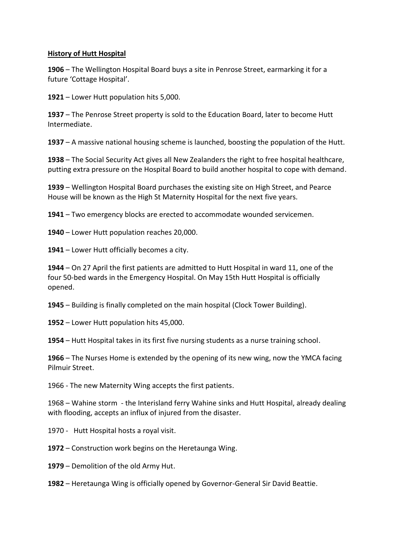## **History of Hutt Hospital**

 – The Wellington Hospital Board buys a site in Penrose Street, earmarking it for a future 'Cottage Hospital'.

– Lower Hutt population hits 5,000.

 – The Penrose Street property is sold to the Education Board, later to become Hutt Intermediate.

– A massive national housing scheme is launched, boosting the population of the Hutt.

 – The Social Security Act gives all New Zealanders the right to free hospital healthcare, putting extra pressure on the Hospital Board to build another hospital to cope with demand.

 – Wellington Hospital Board purchases the existing site on High Street, and Pearce House will be known as the High St Maternity Hospital for the next five years.

– Two emergency blocks are erected to accommodate wounded servicemen.

– Lower Hutt population reaches 20,000.

– Lower Hutt officially becomes a city.

 – On 27 April the first patients are admitted to Hutt Hospital in ward 11, one of the four 50-bed wards in the Emergency Hospital. On May 15th Hutt Hospital is officially opened.

– Building is finally completed on the main hospital (Clock Tower Building).

– Lower Hutt population hits 45,000.

– Hutt Hospital takes in its first five nursing students as a nurse training school.

 – The Nurses Home is extended by the opening of its new wing, now the YMCA facing Pilmuir Street.

1966 - The new Maternity Wing accepts the first patients.

– Wahine storm - the Interisland ferry Wahine sinks and Hutt Hospital, already dealing with flooding, accepts an influx of injured from the disaster.

1970 - Hutt Hospital hosts a royal visit.

– Construction work begins on the Heretaunga Wing.

– Demolition of the old Army Hut.

– Heretaunga Wing is officially opened by Governor-General Sir David Beattie.